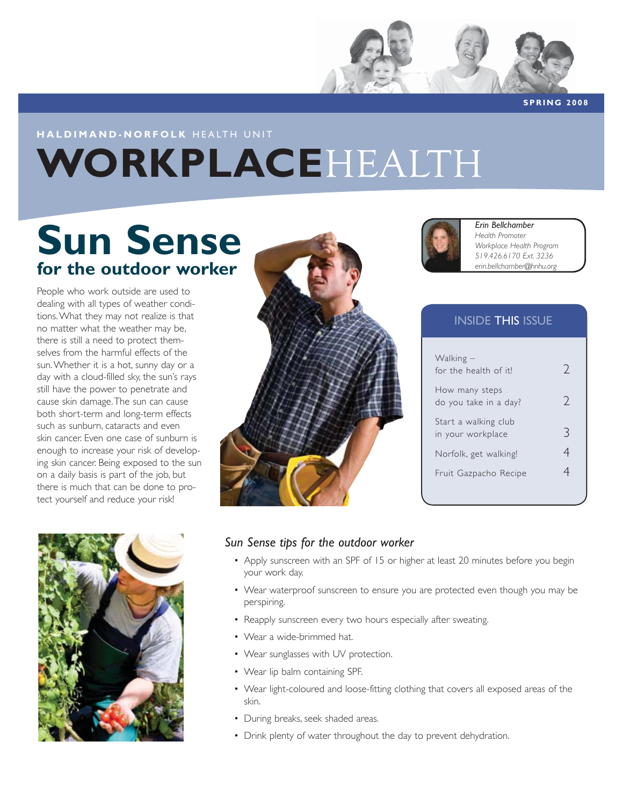

**SPRING 2008**

## **HALDIMAND-NORFOLK** HEALTH UNIT **WORKPLACE**HEALTH

# **Sun Sense for the outdoor worker**

People who work outside are used to dealing with all types of weather conditions. What they may not realize is that no matter what the weather may be, there is still a need to protect themselves from the harmful effects of the sun. Whether it is a hot, sunny day or a day with a cloud-filled sky, the sun's rays still have the power to penetrate and cause skin damage. The sun can cause both short-term and long-term effects such as sunburn, cataracts and even skin cancer. Even one case of sunburn is enough to increase your risk of developing skin cancer. Being exposed to the sun on a daily basis is part of the job, but there is much that can be done to protect yourself and reduce your risk!







*Erin Bellchamber Health Promoter Workplace Health Program 519.426.6170 Ext. 3236 erin.bellchamber@hnhu.org*

### INSIDE THIS ISSUE

| Walking –<br>for the health of it!        | $\gamma$      |
|-------------------------------------------|---------------|
| How many steps<br>do you take in a day?   | $\mathcal{L}$ |
| Start a walking club<br>in your workplace | ≺             |
| Norfolk, get walking!                     |               |
| Fruit Gazpacho Recipe                     |               |
|                                           |               |

#### *Sun Sense tips for the outdoor worker*

- Apply sunscreen with an SPF of 15 or higher at least 20 minutes before you begin your work day.
- Wear waterproof sunscreen to ensure you are protected even though you may be perspiring.
- Reapply sunscreen every two hours especially after sweating.
- Wear a wide-brimmed hat.
- Wear sunglasses with UV protection.
- Wear lip balm containing SPF.
- Wear light-coloured and loose-fitting clothing that covers all exposed areas of the skin.
- During breaks, seek shaded areas.
- Drink plenty of water throughout the day to prevent dehydration.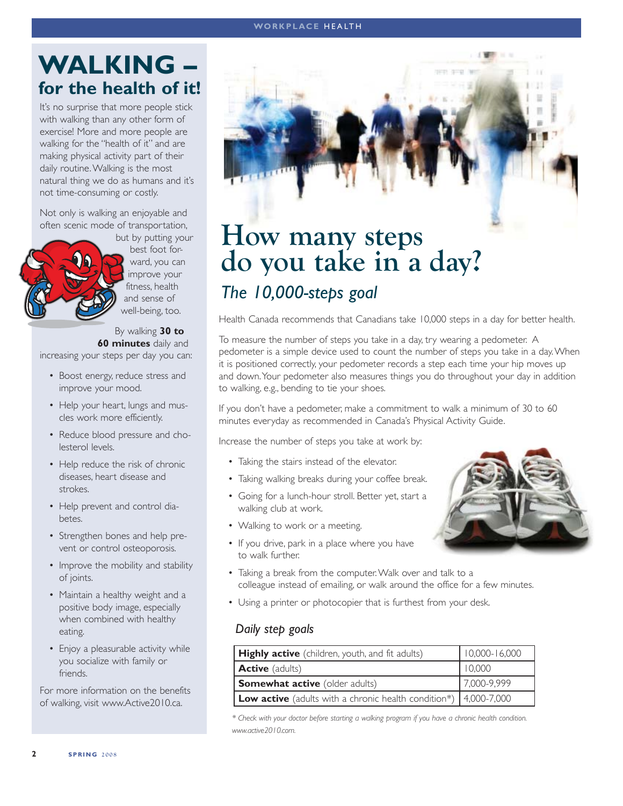#### **WORKPLACE** HEALTH

### **WALKING – for the health of it!**

It's no surprise that more people stick with walking than any other form of exercise! More and more people are walking for the "health of it" and are making physical activity part of their daily routine. Walking is the most natural thing we do as humans and it's not time-consuming or costly.

Not only is walking an enjoyable and often scenic mode of transportation,



but by putting your best foot forward, you can improve your fitness, health and sense of well-being, too.

By walking **30 to 60 minutes** daily and increasing your steps per day you can:

- Boost energy, reduce stress and improve your mood.
- Help your heart, lungs and muscles work more efficiently.
- Reduce blood pressure and cholesterol levels.
- Help reduce the risk of chronic diseases, heart disease and strokes.
- Help prevent and control diabetes.
- Strengthen bones and help prevent or control osteoporosis.
- Improve the mobility and stability of joints.
- Maintain a healthy weight and a positive body image, especially when combined with healthy eating.
- Enjoy a pleasurable activity while you socialize with family or friends.

For more information on the benefits of walking, visit www.Active2010.ca.



## **How many steps do you take in a day?** *The 10,000-steps goal*

Health Canada recommends that Canadians take 10,000 steps in a day for better health.

To measure the number of steps you take in a day, try wearing a pedometer. A pedometer is a simple device used to count the number of steps you take in a day. When it is positioned correctly, your pedometer records a step each time your hip moves up and down. Your pedometer also measures things you do throughout your day in addition to walking, e.g., bending to tie your shoes.

If you don't have a pedometer, make a commitment to walk a minimum of 30 to 60 minutes everyday as recommended in Canada's Physical Activity Guide.

Increase the number of steps you take at work by:

- Taking the stairs instead of the elevator.
- Taking walking breaks during your coffee break.
- Going for a lunch-hour stroll. Better yet, start a walking club at work.
- Walking to work or a meeting.
- If you drive, park in a place where you have to walk further.
- 
- Taking a break from the computer. Walk over and talk to a colleague instead of emailing, or walk around the office for a few minutes.
- Using a printer or photocopier that is furthest from your desk.

#### *Daily step goals*

| <b>Highly active</b> (children, youth, and fit adults)                      | $10,000 - 16,000$ |
|-----------------------------------------------------------------------------|-------------------|
| <b>Active</b> (adults)                                                      | 10,000            |
| <b>Somewhat active</b> (older adults)                                       | 7,000-9,999       |
| <b>Low active</b> (adults with a chronic health condition*) $ 4,000-7,000 $ |                   |

*\* Check with your doctor before starting a walking program if you have a chronic health condition. www.active2010.com.*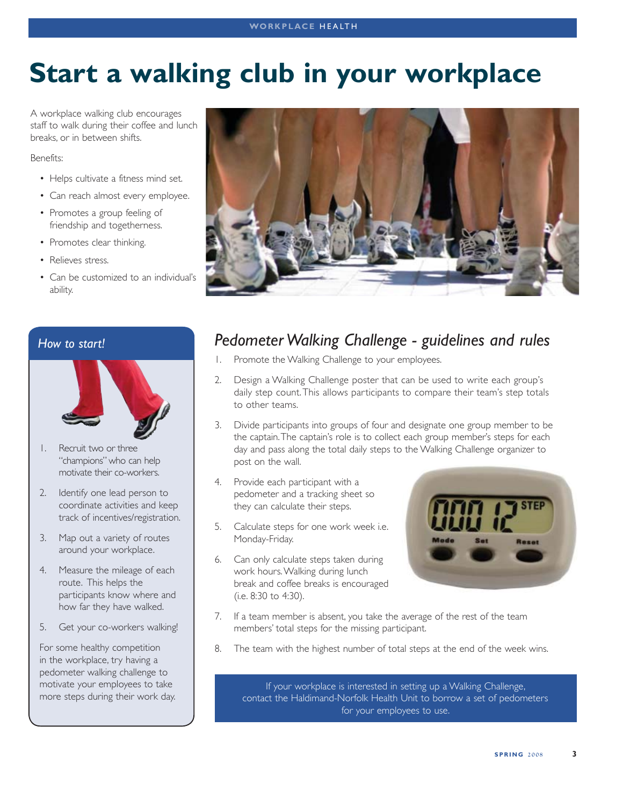# **Start a walking club in your workplace**

A workplace walking club encourages staff to walk during their coffee and lunch breaks, or in between shifts.

Benefits:

- Helps cultivate a fitness mind set.
- Can reach almost every employee.
- Promotes a group feeling of friendship and togetherness.
- Promotes clear thinking.
- Relieves stress.
- Can be customized to an individual's ability.



#### *How to start!*



- 1. Recruit two or three "champions" who can help motivate their co-workers.
- 2. Identify one lead person to coordinate activities and keep track of incentives/registration.
- 3. Map out a variety of routes around your workplace.
- 4. Measure the mileage of each route. This helps the participants know where and how far they have walked.
- 5. Get your co-workers walking!

For some healthy competition in the workplace, try having a pedometer walking challenge to motivate your employees to take more steps during their work day.

### *Pedometer Walking Challenge - guidelines and rules*

- 1. Promote the Walking Challenge to your employees.
- 2. Design a Walking Challenge poster that can be used to write each group's daily step count. This allows participants to compare their team's step totals to other teams.
- 3. Divide participants into groups of four and designate one group member to be the captain. The captain's role is to collect each group member's steps for each day and pass along the total daily steps to the Walking Challenge organizer to post on the wall.
- 4. Provide each participant with a pedometer and a tracking sheet so they can calculate their steps.
- 5. Calculate steps for one work week i.e. Monday-Friday.
- 6. Can only calculate steps taken during work hours. Walking during lunch break and coffee breaks is encouraged (i.e. 8:30 to 4:30).



- 7. If a team member is absent, you take the average of the rest of the team members' total steps for the missing participant.
- 8. The team with the highest number of total steps at the end of the week wins.

If your workplace is interested in setting up a Walking Challenge, contact the Haldimand-Norfolk Health Unit to borrow a set of pedometers for your employees to use.